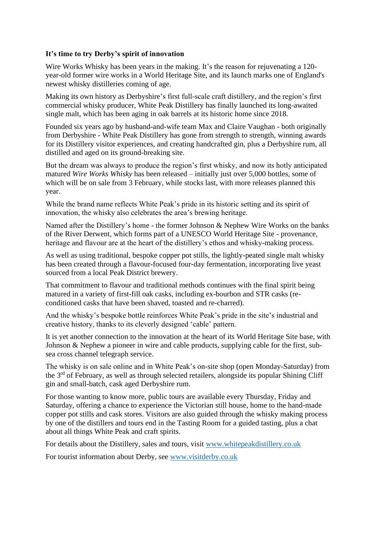## **It's time to try Derby's spirit of innovation**

Wire Works Whisky has been years in the making. It's the reason for rejuvenating a 120year-old former wire works in a World Heritage Site, and its launch marks one of England's newest whisky distilleries coming of age.

Making its own history as Derbyshire's first full-scale craft distillery, and the region's first commercial whisky producer, White Peak Distillery has finally launched its long-awaited single malt, which has been aging in oak barrels at its historic home since 2018.

Founded six years ago by husband-and-wife team Max and Claire Vaughan - both originally from Derbyshire - White Peak Distillery has gone from strength to strength, winning awards for its Distillery visitor experiences, and creating handcrafted gin, plus a Derbyshire rum, all distilled and aged on its ground-breaking site.

But the dream was always to produce the region's first whisky, and now its hotly anticipated matured *Wire Works Whisky* has been released – initially just over 5,000 bottles, some of which will be on sale from 3 February, while stocks last, with more releases planned this year.

While the brand name reflects White Peak's pride in its historic setting and its spirit of innovation, the whisky also celebrates the area's brewing heritage.

Named after the Distillery's home - the former Johnson & Nephew Wire Works on the banks of the River Derwent, which forms part of a UNESCO World Heritage Site - provenance, heritage and flavour are at the heart of the distillery's ethos and whisky-making process.

As well as using traditional, bespoke copper pot stills, the lightly-peated single malt whisky has been created through a flavour-focused four-day fermentation, incorporating live yeast sourced from a local Peak District brewery.

That commitment to flavour and traditional methods continues with the final spirit being matured in a variety of first-fill oak casks, including ex-bourbon and STR casks (reconditioned casks that have been shaved, toasted and re-charred).

And the whisky's bespoke bottle reinforces White Peak's pride in the site's industrial and creative history, thanks to its cleverly designed 'cable' pattern.

It is yet another connection to the innovation at the heart of its World Heritage Site base, with Johnson & Nephew a pioneer in wire and cable products, supplying cable for the first, subsea cross channel telegraph service.

The whisky is on sale online and in White Peak's on-site shop (open Monday-Saturday) from the 3<sup>rd</sup> of February, as well as through selected retailers, alongside its popular Shining Cliff gin and small-batch, cask aged Derbyshire rum.

For those wanting to know more, public tours are available every Thursday, Friday and Saturday, offering a chance to experience the Victorian still house, home to the hand-made copper pot stills and cask stores. Visitors are also guided through the whisky making process by one of the distillers and tours end in the Tasting Room for a guided tasting, plus a chat about all things White Peak and craft spirits.

For details about the Distillery, sales and tours, visit [www.whitepeakdistillery.co.uk](http://www.whitepeakdistillery.co.uk/)

For tourist information about Derby, see [www.visitderby.co.uk](http://www.visitderby.co.uk/)